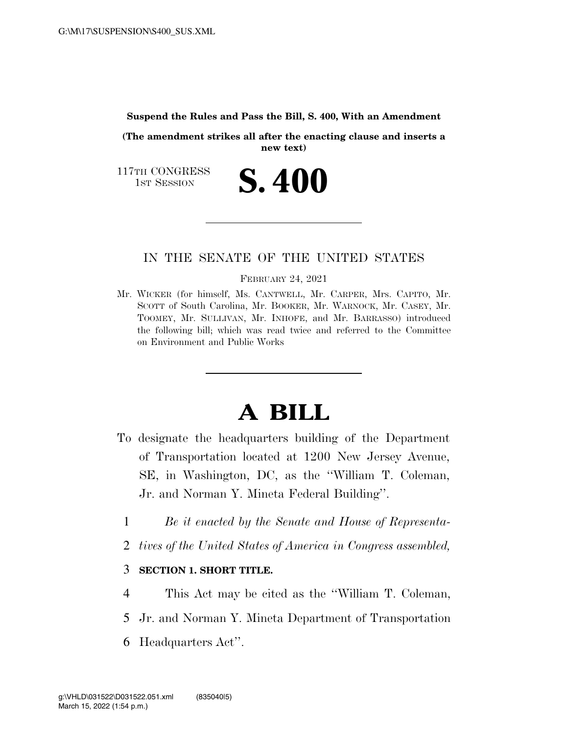**Suspend the Rules and Pass the Bill, S. 400, With an Amendment** 

**(The amendment strikes all after the enacting clause and inserts a new text)** 

117TH CONGRESS **IST SESSION S. 400** 

#### IN THE SENATE OF THE UNITED STATES

FEBRUARY 24, 2021

Mr. WICKER (for himself, Ms. CANTWELL, Mr. CARPER, Mrs. CAPITO, Mr. SCOTT of South Carolina, Mr. BOOKER, Mr. WARNOCK, Mr. CASEY, Mr. TOOMEY, Mr. SULLIVAN, Mr. INHOFE, and Mr. BARRASSO) introduced the following bill; which was read twice and referred to the Committee on Environment and Public Works

# **A BILL**

- To designate the headquarters building of the Department of Transportation located at 1200 New Jersey Avenue, SE, in Washington, DC, as the ''William T. Coleman, Jr. and Norman Y. Mineta Federal Building''.
	- 1 *Be it enacted by the Senate and House of Representa-*
	- 2 *tives of the United States of America in Congress assembled,*

## 3 **SECTION 1. SHORT TITLE.**

- 4 This Act may be cited as the ''William T. Coleman,
- 5 Jr. and Norman Y. Mineta Department of Transportation
- 6 Headquarters Act''.